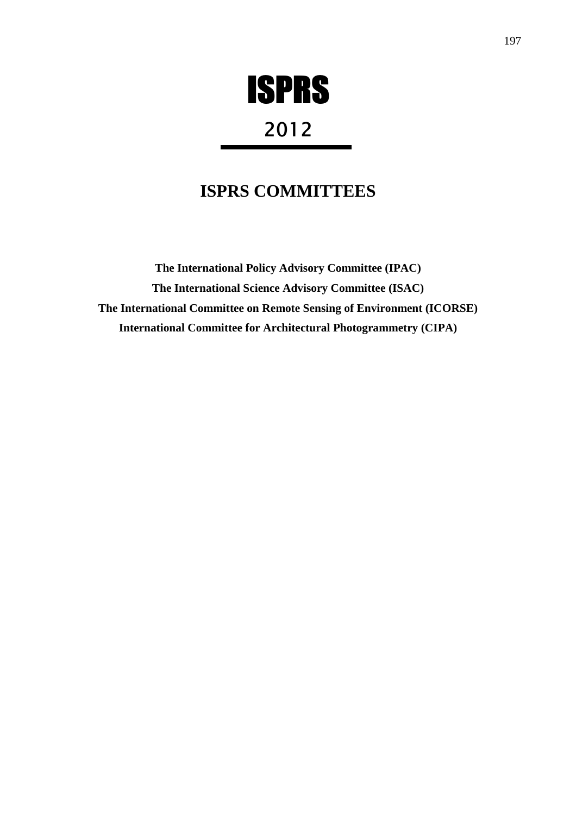

# 2012

## **ISPRS COMMITTEES**

**The International Policy Advisory Committee (IPAC) The International Science Advisory Committee (ISAC) The International Committee on Remote Sensing of Environment (ICORSE) International Committee for Architectural Photogrammetry (CIPA)**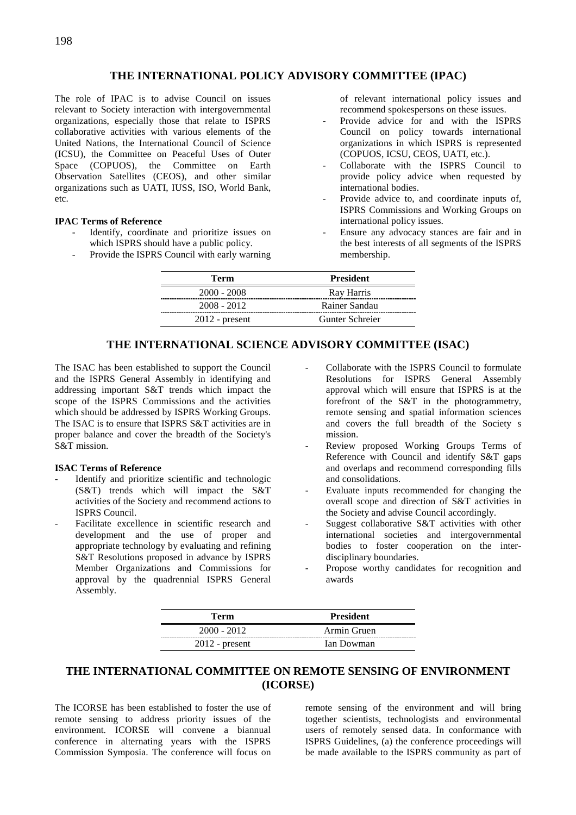## **THE INTERNATIONAL POLICY ADVISORY COMMITTEE (IPAC)**

The role of IPAC is to advise Council on issues relevant to Society interaction with intergovernmental organizations, especially those that relate to ISPRS collaborative activities with various elements of the United Nations, the International Council of Science (ICSU), the Committee on Peaceful Uses of Outer Space (COPUOS), the Committee on Earth Observation Satellites (CEOS), and other similar organizations such as UATI, IUSS, ISO, World Bank, etc.

### **IPAC Terms of Reference**

- Identify, coordinate and prioritize issues on which ISPRS should have a public policy.
- Provide the ISPRS Council with early warning

of relevant international policy issues and recommend spokespersons on these issues.

- Provide advice for and with the ISPRS Council on policy towards international organizations in which ISPRS is represented (COPUOS, ICSU, CEOS, UATI, etc.).
- Collaborate with the ISPRS Council to provide policy advice when requested by international bodies.
- Provide advice to, and coordinate inputs of. ISPRS Commissions and Working Groups on international policy issues.
- Ensure any advocacy stances are fair and in the best interests of all segments of the ISPRS membership.

| <b>Term</b>      | <b>President</b> |
|------------------|------------------|
| $2000 - 2008$    | Ray Harris       |
| $2008 - 2012$    | Rainer Sandau    |
| $2012$ - present | Gunter Schreier  |

## **THE INTERNATIONAL SCIENCE ADVISORY COMMITTEE (ISAC)**

The ISAC has been established to support the Council and the ISPRS General Assembly in identifying and addressing important S&T trends which impact the scope of the ISPRS Commissions and the activities which should be addressed by ISPRS Working Groups. The ISAC is to ensure that ISPRS S&T activities are in proper balance and cover the breadth of the Society's S&T mission.

#### **ISAC Terms of Reference**

- Identify and prioritize scientific and technologic (S&T) trends which will impact the S&T activities of the Society and recommend actions to ISPRS Council.
- Facilitate excellence in scientific research and development and the use of proper and appropriate technology by evaluating and refining S&T Resolutions proposed in advance by ISPRS Member Organizations and Commissions for approval by the quadrennial ISPRS General Assembly.
- Collaborate with the ISPRS Council to formulate Resolutions for ISPRS General Assembly approval which will ensure that ISPRS is at the forefront of the S&T in the photogrammetry, remote sensing and spatial information sciences and covers the full breadth of the Society s mission.
- Review proposed Working Groups Terms of Reference with Council and identify S&T gaps and overlaps and recommend corresponding fills and consolidations.
- Evaluate inputs recommended for changing the overall scope and direction of S&T activities in the Society and advise Council accordingly.
- Suggest collaborative S&T activities with other international societies and intergovernmental bodies to foster cooperation on the interdisciplinary boundaries.
- Propose worthy candidates for recognition and awards

| Term             | <b>President</b> |
|------------------|------------------|
| $2000 - 2012$    | Armin Gruen      |
| $2012$ - present | Ian Dowman       |

## **THE INTERNATIONAL COMMITTEE ON REMOTE SENSING OF ENVIRONMENT (ICORSE)**

The ICORSE has been established to foster the use of remote sensing to address priority issues of the environment. ICORSE will convene a biannual conference in alternating years with the ISPRS Commission Symposia. The conference will focus on

remote sensing of the environment and will bring together scientists, technologists and environmental users of remotely sensed data. In conformance with ISPRS Guidelines, (a) the conference proceedings will be made available to the ISPRS community as part of